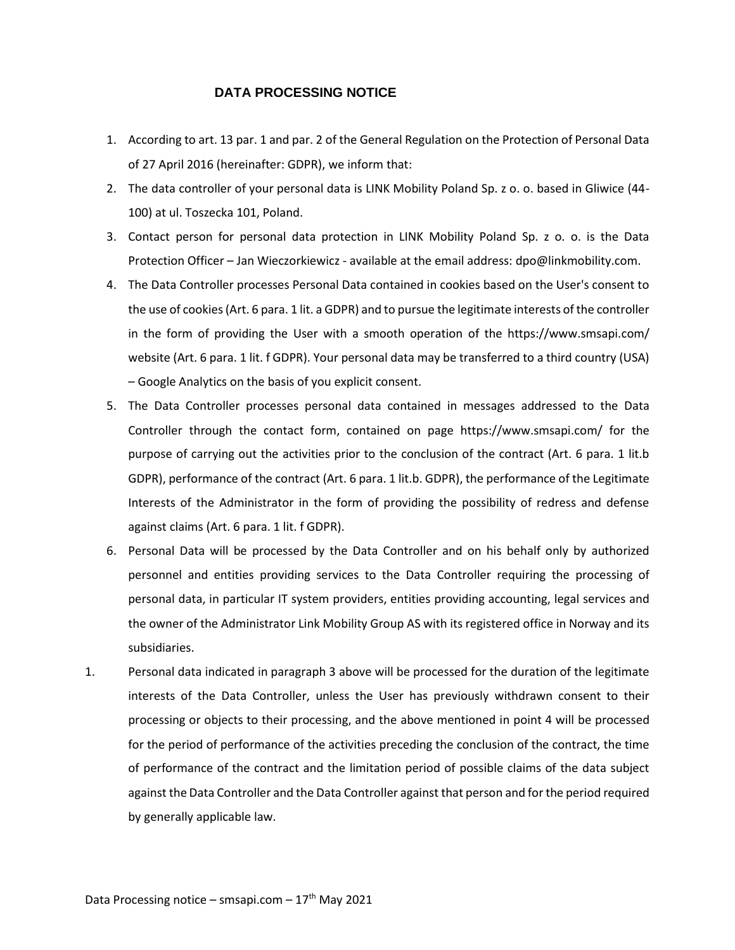## **DATA PROCESSING NOTICE**

- 1. According to art. 13 par. 1 and par. 2 of the General Regulation on the Protection of Personal Data of 27 April 2016 (hereinafter: GDPR), we inform that:
- 2. The data controller of your personal data is LINK Mobility Poland Sp. z o. o. based in Gliwice (44- 100) at ul. Toszecka 101, Poland.
- 3. Contact person for personal data protection in LINK Mobility Poland Sp. z o. o. is the Data Protection Officer – Jan Wieczorkiewicz - available at the email address: dpo@linkmobility.com.
- 4. The Data Controller processes Personal Data contained in cookies based on the User's consent to the use of cookies (Art. 6 para. 1 lit. a GDPR) and to pursue the legitimate interests of the controller in the form of providing the User with a smooth operation of the https://www.smsapi.com/ website (Art. 6 para. 1 lit. f GDPR). Your personal data may be transferred to a third country (USA) – Google Analytics on the basis of you explicit consent.
- 5. The Data Controller processes personal data contained in messages addressed to the Data Controller through the contact form, contained on page https://www.smsapi.com/ for the purpose of carrying out the activities prior to the conclusion of the contract (Art. 6 para. 1 lit.b GDPR), performance of the contract (Art. 6 para. 1 lit.b. GDPR), the performance of the Legitimate Interests of the Administrator in the form of providing the possibility of redress and defense against claims (Art. 6 para. 1 lit. f GDPR).
- 6. Personal Data will be processed by the Data Controller and on his behalf only by authorized personnel and entities providing services to the Data Controller requiring the processing of personal data, in particular IT system providers, entities providing accounting, legal services and the owner of the Administrator Link Mobility Group AS with its registered office in Norway and its subsidiaries.
- 1. Personal data indicated in paragraph 3 above will be processed for the duration of the legitimate interests of the Data Controller, unless the User has previously withdrawn consent to their processing or objects to their processing, and the above mentioned in point 4 will be processed for the period of performance of the activities preceding the conclusion of the contract, the time of performance of the contract and the limitation period of possible claims of the data subject against the Data Controller and the Data Controller against that person and for the period required by generally applicable law.